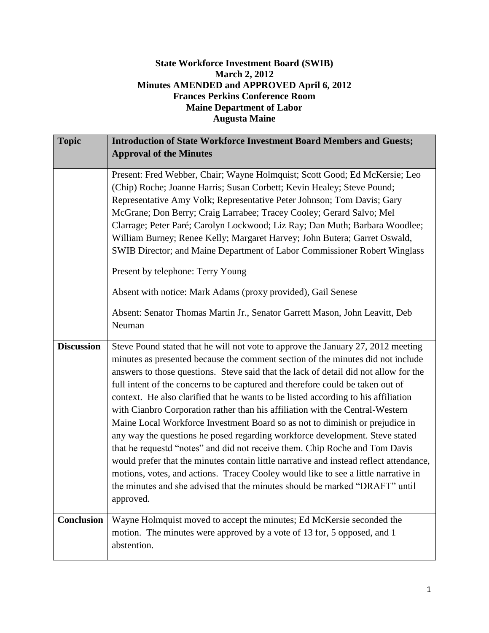## **State Workforce Investment Board (SWIB) March 2, 2012 Minutes AMENDED and APPROVED April 6, 2012 Frances Perkins Conference Room Maine Department of Labor Augusta Maine**

| <b>Topic</b>      | <b>Introduction of State Workforce Investment Board Members and Guests;</b><br><b>Approval of the Minutes</b>                                                                                                                                                                                                                                                                                                                                                                                                                                                                                                                                                                                                                                                                                                                                                                                                                                                                                                                                   |
|-------------------|-------------------------------------------------------------------------------------------------------------------------------------------------------------------------------------------------------------------------------------------------------------------------------------------------------------------------------------------------------------------------------------------------------------------------------------------------------------------------------------------------------------------------------------------------------------------------------------------------------------------------------------------------------------------------------------------------------------------------------------------------------------------------------------------------------------------------------------------------------------------------------------------------------------------------------------------------------------------------------------------------------------------------------------------------|
|                   | Present: Fred Webber, Chair; Wayne Holmquist; Scott Good; Ed McKersie; Leo<br>(Chip) Roche; Joanne Harris; Susan Corbett; Kevin Healey; Steve Pound;<br>Representative Amy Volk; Representative Peter Johnson; Tom Davis; Gary<br>McGrane; Don Berry; Craig Larrabee; Tracey Cooley; Gerard Salvo; Mel<br>Clarrage; Peter Paré; Carolyn Lockwood; Liz Ray; Dan Muth; Barbara Woodlee;<br>William Burney; Renee Kelly; Margaret Harvey; John Butera; Garret Oswald,<br>SWIB Director; and Maine Department of Labor Commissioner Robert Winglass<br>Present by telephone: Terry Young                                                                                                                                                                                                                                                                                                                                                                                                                                                            |
|                   | Absent with notice: Mark Adams (proxy provided), Gail Senese<br>Absent: Senator Thomas Martin Jr., Senator Garrett Mason, John Leavitt, Deb<br>Neuman                                                                                                                                                                                                                                                                                                                                                                                                                                                                                                                                                                                                                                                                                                                                                                                                                                                                                           |
| <b>Discussion</b> | Steve Pound stated that he will not vote to approve the January 27, 2012 meeting<br>minutes as presented because the comment section of the minutes did not include<br>answers to those questions. Steve said that the lack of detail did not allow for the<br>full intent of the concerns to be captured and therefore could be taken out of<br>context. He also clarified that he wants to be listed according to his affiliation<br>with Cianbro Corporation rather than his affiliation with the Central-Western<br>Maine Local Workforce Investment Board so as not to diminish or prejudice in<br>any way the questions he posed regarding workforce development. Steve stated<br>that he requestd "notes" and did not receive them. Chip Roche and Tom Davis<br>would prefer that the minutes contain little narrative and instead reflect attendance,<br>motions, votes, and actions. Tracey Cooley would like to see a little narrative in<br>the minutes and she advised that the minutes should be marked "DRAFT" until<br>approved. |
| <b>Conclusion</b> | Wayne Holmquist moved to accept the minutes; Ed McKersie seconded the<br>motion. The minutes were approved by a vote of 13 for, 5 opposed, and 1<br>abstention.                                                                                                                                                                                                                                                                                                                                                                                                                                                                                                                                                                                                                                                                                                                                                                                                                                                                                 |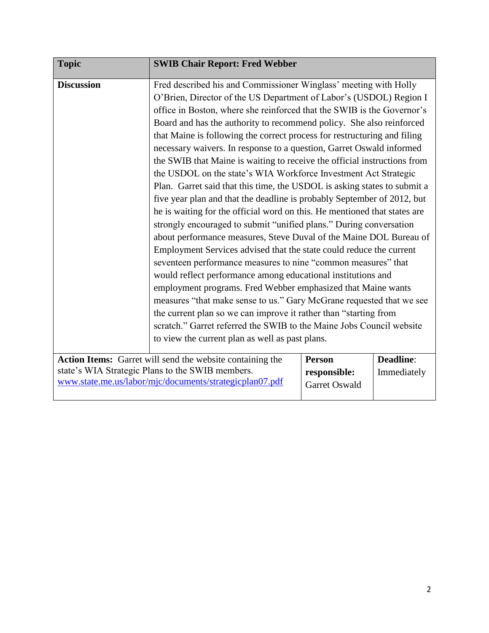| <b>Topic</b>      | <b>SWIB Chair Report: Fred Webber</b>                                     |               |                  |
|-------------------|---------------------------------------------------------------------------|---------------|------------------|
| <b>Discussion</b> | Fred described his and Commissioner Winglass' meeting with Holly          |               |                  |
|                   | O'Brien, Director of the US Department of Labor's (USDOL) Region I        |               |                  |
|                   | office in Boston, where she reinforced that the SWIB is the Governor's    |               |                  |
|                   | Board and has the authority to recommend policy. She also reinforced      |               |                  |
|                   | that Maine is following the correct process for restructuring and filing  |               |                  |
|                   | necessary waivers. In response to a question, Garret Oswald informed      |               |                  |
|                   | the SWIB that Maine is waiting to receive the official instructions from  |               |                  |
|                   | the USDOL on the state's WIA Workforce Investment Act Strategic           |               |                  |
|                   | Plan. Garret said that this time, the USDOL is asking states to submit a  |               |                  |
|                   | five year plan and that the deadline is probably September of 2012, but   |               |                  |
|                   | he is waiting for the official word on this. He mentioned that states are |               |                  |
|                   | strongly encouraged to submit "unified plans." During conversation        |               |                  |
|                   | about performance measures, Steve Duval of the Maine DOL Bureau of        |               |                  |
|                   | Employment Services advised that the state could reduce the current       |               |                  |
|                   | seventeen performance measures to nine "common measures" that             |               |                  |
|                   | would reflect performance among educational institutions and              |               |                  |
|                   | employment programs. Fred Webber emphasized that Maine wants              |               |                  |
|                   | measures "that make sense to us." Gary McGrane requested that we see      |               |                  |
|                   | the current plan so we can improve it rather than "starting from          |               |                  |
|                   | scratch." Garret referred the SWIB to the Maine Jobs Council website      |               |                  |
|                   | to view the current plan as well as past plans.                           |               |                  |
|                   |                                                                           |               |                  |
|                   | Action Items: Garret will send the website containing the                 | <b>Person</b> | <b>Deadline:</b> |
|                   | state's WIA Strategic Plans to the SWIB members.                          | responsible:  | Immediately      |
|                   | www.state.me.us/labor/mjc/documents/strategicplan07.pdf                   | Garret Oswald |                  |
|                   |                                                                           |               |                  |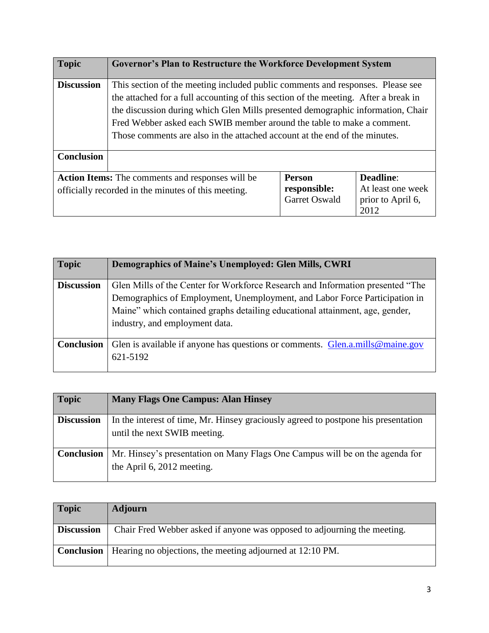| <b>Topic</b>      | <b>Governor's Plan to Restructure the Workforce Development System</b>                                                                                                                                                                                                                                                                                                                                           |                                                |                                                                    |
|-------------------|------------------------------------------------------------------------------------------------------------------------------------------------------------------------------------------------------------------------------------------------------------------------------------------------------------------------------------------------------------------------------------------------------------------|------------------------------------------------|--------------------------------------------------------------------|
| <b>Discussion</b> | This section of the meeting included public comments and responses. Please see<br>the attached for a full accounting of this section of the meeting. After a break in<br>the discussion during which Glen Mills presented demographic information, Chair<br>Fred Webber asked each SWIB member around the table to make a comment.<br>Those comments are also in the attached account at the end of the minutes. |                                                |                                                                    |
| <b>Conclusion</b> |                                                                                                                                                                                                                                                                                                                                                                                                                  |                                                |                                                                    |
|                   | <b>Action Items:</b> The comments and responses will be<br>officially recorded in the minutes of this meeting.                                                                                                                                                                                                                                                                                                   | <b>Person</b><br>responsible:<br>Garret Oswald | <b>Deadline:</b><br>At least one week<br>prior to April 6,<br>2012 |

| <b>Topic</b>      | <b>Demographics of Maine's Unemployed: Glen Mills, CWRI</b>                    |
|-------------------|--------------------------------------------------------------------------------|
|                   |                                                                                |
| <b>Discussion</b> | Glen Mills of the Center for Workforce Research and Information presented "The |
|                   | Demographics of Employment, Unemployment, and Labor Force Participation in     |
|                   | Maine" which contained graphs detailing educational attainment, age, gender,   |
|                   | industry, and employment data.                                                 |
|                   |                                                                                |
| <b>Conclusion</b> | Glen is available if anyone has questions or comments. Glen.a.mills@maine.gov  |
|                   | 621-5192                                                                       |
|                   |                                                                                |

| <b>Topic</b>      | <b>Many Flags One Campus: Alan Hinsey</b>                                                                          |
|-------------------|--------------------------------------------------------------------------------------------------------------------|
| <b>Discussion</b> | In the interest of time, Mr. Hinsey graciously agreed to postpone his presentation<br>until the next SWIB meeting. |
| <b>Conclusion</b> | Mr. Hinsey's presentation on Many Flags One Campus will be on the agenda for<br>the April 6, 2012 meeting.         |

| <b>Topic</b>      | <b>Adjourn</b>                                                                |
|-------------------|-------------------------------------------------------------------------------|
| <b>Discussion</b> | Chair Fred Webber asked if anyone was opposed to adjourning the meeting.      |
|                   | <b>Conclusion</b>   Hearing no objections, the meeting adjourned at 12:10 PM. |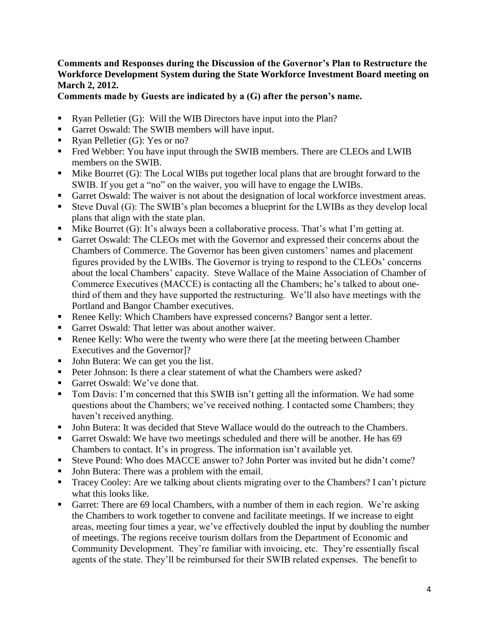## **Comments and Responses during the Discussion of the Governor's Plan to Restructure the Workforce Development System during the State Workforce Investment Board meeting on March 2, 2012.**

**Comments made by Guests are indicated by a (G) after the person's name.** 

- Ryan Pelletier (G): Will the WIB Directors have input into the Plan?
- Garret Oswald: The SWIB members will have input.
- Ryan Pelletier (G): Yes or no?
- **•** Fred Webber: You have input through the SWIB members. There are CLEOs and LWIB members on the SWIB.
- Mike Bourret (G): The Local WIBs put together local plans that are brought forward to the SWIB. If you get a "no" on the waiver, you will have to engage the LWIBs.
- Garret Oswald: The waiver is not about the designation of local workforce investment areas.
- Steve Duval (G): The SWIB's plan becomes a blueprint for the LWIBs as they develop local plans that align with the state plan.
- Mike Bourret  $(G)$ : It's always been a collaborative process. That's what I'm getting at.
- Garret Oswald: The CLEOs met with the Governor and expressed their concerns about the Chambers of Commerce. The Governor has been given customers' names and placement figures provided by the LWIBs. The Governor is trying to respond to the CLEOs' concerns about the local Chambers' capacity. Steve Wallace of the Maine Association of Chamber of Commerce Executives (MACCE) is contacting all the Chambers; he's talked to about onethird of them and they have supported the restructuring. We'll also have meetings with the Portland and Bangor Chamber executives.
- Renee Kelly: Which Chambers have expressed concerns? Bangor sent a letter.
- Garret Oswald: That letter was about another waiver.
- Renee Kelly: Who were the twenty who were there [at the meeting between Chamber Executives and the Governor]?
- John Butera: We can get you the list.
- Peter Johnson: Is there a clear statement of what the Chambers were asked?
- Garret Oswald: We've done that.
- Tom Davis: I'm concerned that this SWIB isn't getting all the information. We had some questions about the Chambers; we've received nothing. I contacted some Chambers; they haven't received anything.
- John Butera: It was decided that Steve Wallace would do the outreach to the Chambers.
- Garret Oswald: We have two meetings scheduled and there will be another. He has 69 Chambers to contact. It's in progress. The information isn't available yet.
- Steve Pound: Who does MACCE answer to? John Porter was invited but he didn't come?
- John Butera: There was a problem with the email.
- Tracey Cooley: Are we talking about clients migrating over to the Chambers? I can't picture what this looks like.
- Garret: There are 69 local Chambers, with a number of them in each region. We're asking the Chambers to work together to convene and facilitate meetings. If we increase to eight areas, meeting four times a year, we've effectively doubled the input by doubling the number of meetings. The regions receive tourism dollars from the Department of Economic and Community Development. They're familiar with invoicing, etc. They're essentially fiscal agents of the state. They'll be reimbursed for their SWIB related expenses. The benefit to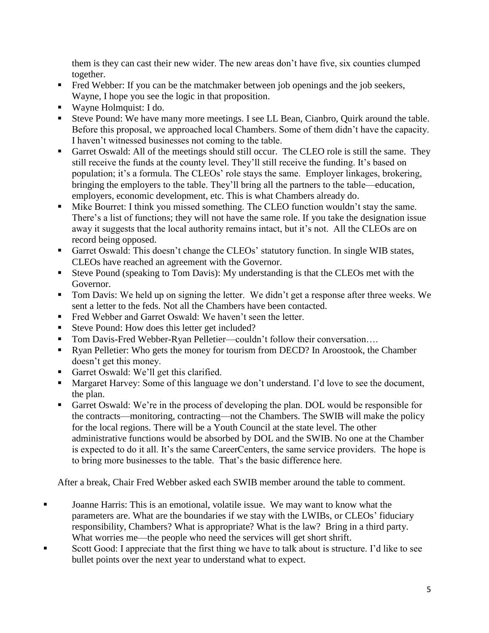them is they can cast their new wider. The new areas don't have five, six counties clumped together.

- **•** Fred Webber: If you can be the matchmaker between job openings and the job seekers, Wayne, I hope you see the logic in that proposition.
- Wayne Holmquist: I do.
- Steve Pound: We have many more meetings. I see LL Bean, Cianbro, Quirk around the table. Before this proposal, we approached local Chambers. Some of them didn't have the capacity. I haven't witnessed businesses not coming to the table.
- Garret Oswald: All of the meetings should still occur. The CLEO role is still the same. They still receive the funds at the county level. They'll still receive the funding. It's based on population; it's a formula. The CLEOs' role stays the same. Employer linkages, brokering, bringing the employers to the table. They'll bring all the partners to the table—education, employers, economic development, etc. This is what Chambers already do.
- Mike Bourret: I think you missed something. The CLEO function wouldn't stay the same. There's a list of functions; they will not have the same role. If you take the designation issue away it suggests that the local authority remains intact, but it's not. All the CLEOs are on record being opposed.
- Garret Oswald: This doesn't change the CLEOs' statutory function. In single WIB states, CLEOs have reached an agreement with the Governor.
- Steve Pound (speaking to Tom Davis): My understanding is that the CLEOs met with the Governor.
- Tom Davis: We held up on signing the letter. We didn't get a response after three weeks. We sent a letter to the feds. Not all the Chambers have been contacted.
- Fred Webber and Garret Oswald: We haven't seen the letter.
- Steve Pound: How does this letter get included?
- Tom Davis-Fred Webber-Ryan Pelletier—couldn't follow their conversation....
- Ryan Pelletier: Who gets the money for tourism from DECD? In Aroostook, the Chamber doesn't get this money.
- Garret Oswald: We'll get this clarified.
- Margaret Harvey: Some of this language we don't understand. I'd love to see the document, the plan.
- Garret Oswald: We're in the process of developing the plan. DOL would be responsible for the contracts—monitoring, contracting—not the Chambers. The SWIB will make the policy for the local regions. There will be a Youth Council at the state level. The other administrative functions would be absorbed by DOL and the SWIB. No one at the Chamber is expected to do it all. It's the same CareerCenters, the same service providers. The hope is to bring more businesses to the table. That's the basic difference here.

After a break, Chair Fred Webber asked each SWIB member around the table to comment.

- **Joanne Harris: This is an emotional, volatile issue. We may want to know what the** parameters are. What are the boundaries if we stay with the LWIBs, or CLEOs' fiduciary responsibility, Chambers? What is appropriate? What is the law? Bring in a third party. What worries me—the people who need the services will get short shrift.
- Scott Good: I appreciate that the first thing we have to talk about is structure. I'd like to see bullet points over the next year to understand what to expect.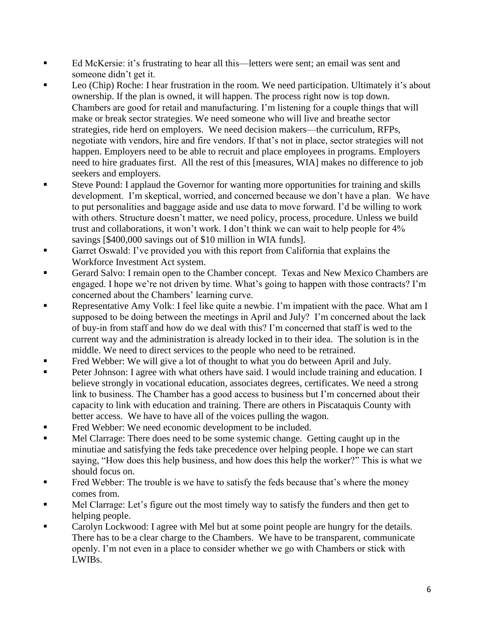- Ed McKersie: it's frustrating to hear all this—letters were sent; an email was sent and someone didn't get it.
- Leo (Chip) Roche: I hear frustration in the room. We need participation. Ultimately it's about ownership. If the plan is owned, it will happen. The process right now is top down. Chambers are good for retail and manufacturing. I'm listening for a couple things that will make or break sector strategies. We need someone who will live and breathe sector strategies, ride herd on employers. We need decision makers—the curriculum, RFPs, negotiate with vendors, hire and fire vendors. If that's not in place, sector strategies will not happen. Employers need to be able to recruit and place employees in programs. Employers need to hire graduates first. All the rest of this [measures, WIA] makes no difference to job seekers and employers.
- Steve Pound: I applaud the Governor for wanting more opportunities for training and skills development. I'm skeptical, worried, and concerned because we don't have a plan. We have to put personalities and baggage aside and use data to move forward. I'd be willing to work with others. Structure doesn't matter, we need policy, process, procedure. Unless we build trust and collaborations, it won't work. I don't think we can wait to help people for 4% savings [\$400,000 savings out of \$10 million in WIA funds].
- Garret Oswald: I've provided you with this report from California that explains the Workforce Investment Act system.
- Gerard Salvo: I remain open to the Chamber concept. Texas and New Mexico Chambers are engaged. I hope we're not driven by time. What's going to happen with those contracts? I'm concerned about the Chambers' learning curve.
- Representative Amy Volk: I feel like quite a newbie. I'm impatient with the pace. What am I supposed to be doing between the meetings in April and July? I'm concerned about the lack of buy-in from staff and how do we deal with this? I'm concerned that staff is wed to the current way and the administration is already locked in to their idea. The solution is in the middle. We need to direct services to the people who need to be retrained.
- Fred Webber: We will give a lot of thought to what you do between April and July.
- Peter Johnson: I agree with what others have said. I would include training and education. I believe strongly in vocational education, associates degrees, certificates. We need a strong link to business. The Chamber has a good access to business but I'm concerned about their capacity to link with education and training. There are others in Piscataquis County with better access. We have to have all of the voices pulling the wagon.
- Fred Webber: We need economic development to be included.
- **I.** Mel Clarrage: There does need to be some systemic change. Getting caught up in the minutiae and satisfying the feds take precedence over helping people. I hope we can start saying, "How does this help business, and how does this help the worker?" This is what we should focus on.
- Fred Webber: The trouble is we have to satisfy the feds because that's where the money comes from.
- Mel Clarrage: Let's figure out the most timely way to satisfy the funders and then get to helping people.
- Carolyn Lockwood: I agree with Mel but at some point people are hungry for the details. There has to be a clear charge to the Chambers. We have to be transparent, communicate openly. I'm not even in a place to consider whether we go with Chambers or stick with LWIBs.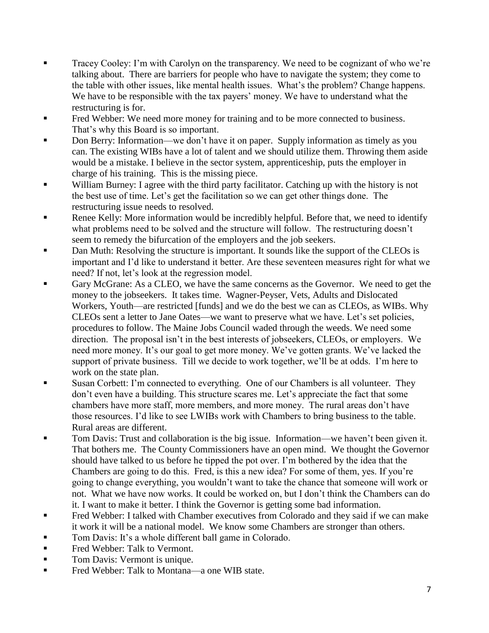- Tracey Cooley: I'm with Carolyn on the transparency. We need to be cognizant of who we're talking about. There are barriers for people who have to navigate the system; they come to the table with other issues, like mental health issues. What's the problem? Change happens. We have to be responsible with the tax payers' money. We have to understand what the restructuring is for.
- Fred Webber: We need more money for training and to be more connected to business. That's why this Board is so important.
- Don Berry: Information—we don't have it on paper. Supply information as timely as you can. The existing WIBs have a lot of talent and we should utilize them. Throwing them aside would be a mistake. I believe in the sector system, apprenticeship, puts the employer in charge of his training. This is the missing piece.
- **EXECUTE:** William Burney: I agree with the third party facilitator. Catching up with the history is not the best use of time. Let's get the facilitation so we can get other things done. The restructuring issue needs to resolved.
- Renee Kelly: More information would be incredibly helpful. Before that, we need to identify what problems need to be solved and the structure will follow. The restructuring doesn't seem to remedy the bifurcation of the employers and the job seekers.
- Dan Muth: Resolving the structure is important. It sounds like the support of the CLEOs is important and I'd like to understand it better. Are these seventeen measures right for what we need? If not, let's look at the regression model.
- Gary McGrane: As a CLEO, we have the same concerns as the Governor. We need to get the money to the jobseekers. It takes time. Wagner-Peyser, Vets, Adults and Dislocated Workers, Youth—are restricted [funds] and we do the best we can as CLEOs, as WIBs. Why CLEOs sent a letter to Jane Oates—we want to preserve what we have. Let's set policies, procedures to follow. The Maine Jobs Council waded through the weeds. We need some direction. The proposal isn't in the best interests of jobseekers, CLEOs, or employers. We need more money. It's our goal to get more money. We've gotten grants. We've lacked the support of private business. Till we decide to work together, we'll be at odds. I'm here to work on the state plan.
- Susan Corbett: I'm connected to everything. One of our Chambers is all volunteer. They don't even have a building. This structure scares me. Let's appreciate the fact that some chambers have more staff, more members, and more money. The rural areas don't have those resources. I'd like to see LWIBs work with Chambers to bring business to the table. Rural areas are different.
- Tom Davis: Trust and collaboration is the big issue. Information—we haven't been given it. That bothers me. The County Commissioners have an open mind. We thought the Governor should have talked to us before he tipped the pot over. I'm bothered by the idea that the Chambers are going to do this. Fred, is this a new idea? For some of them, yes. If you're going to change everything, you wouldn't want to take the chance that someone will work or not. What we have now works. It could be worked on, but I don't think the Chambers can do it. I want to make it better. I think the Governor is getting some bad information.
- Fred Webber: I talked with Chamber executives from Colorado and they said if we can make it work it will be a national model. We know some Chambers are stronger than others.
- Tom Davis: It's a whole different ball game in Colorado.
- **Fred Webber: Talk to Vermont.**
- Tom Davis: Vermont is unique.
- Fred Webber: Talk to Montana—a one WIB state.